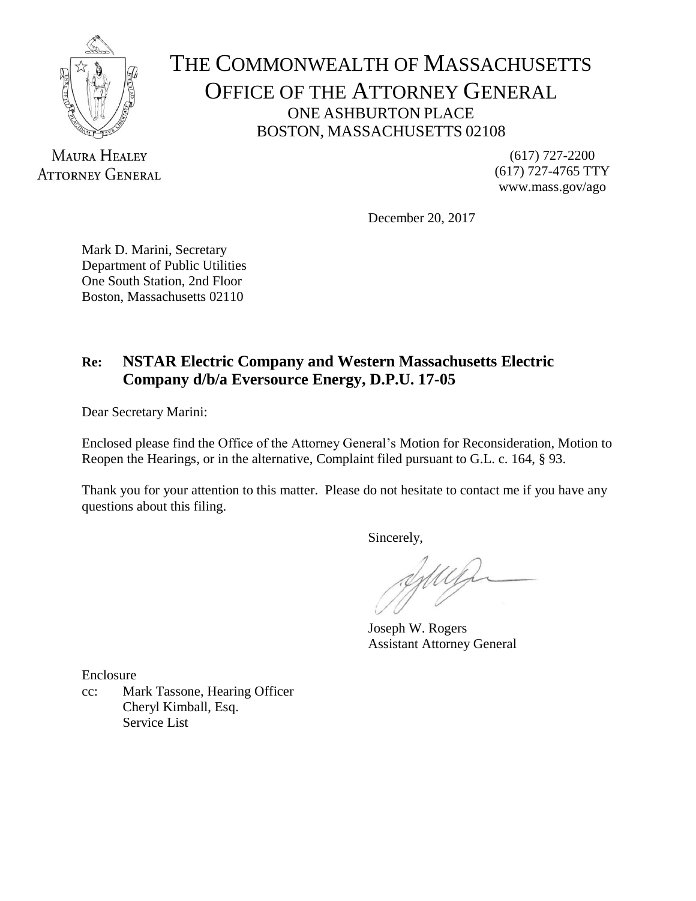

# THE COMMONWEALTH OF MASSACHUSETTS OFFICE OF THE ATTORNEY GENERAL ONE ASHBURTON PLACE BOSTON, MASSACHUSETTS 02108

**MAURA HEALEY ATTORNEY GENERAL** 

(617) 727-2200 (617) 727-4765 TTY www.mass.gov/ago

December 20, 2017

Mark D. Marini, Secretary Department of Public Utilities One South Station, 2nd Floor Boston, Massachusetts 02110

# **Re: NSTAR Electric Company and Western Massachusetts Electric Company d/b/a Eversource Energy, D.P.U. 17-05**

Dear Secretary Marini:

Enclosed please find the Office of the Attorney General's Motion for Reconsideration, Motion to Reopen the Hearings, or in the alternative, Complaint filed pursuant to G.L. c. 164, § 93.

Thank you for your attention to this matter. Please do not hesitate to contact me if you have any questions about this filing.

Sincerely,

Joseph W. Rogers Assistant Attorney General

Enclosure

cc: Mark Tassone, Hearing Officer Cheryl Kimball, Esq. Service List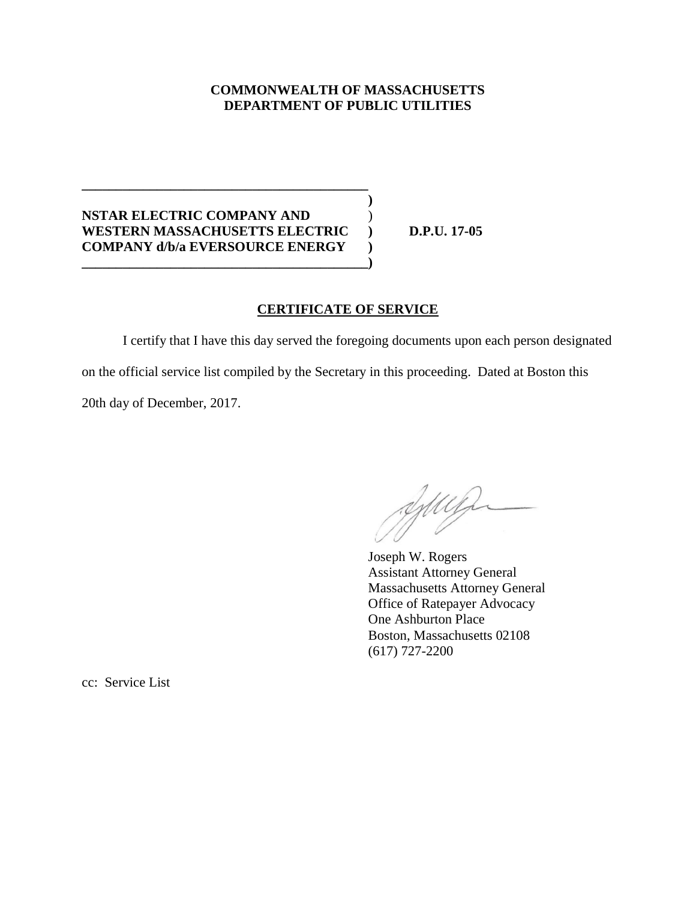#### **COMMONWEALTH OF MASSACHUSETTS DEPARTMENT OF PUBLIC UTILITIES**

**)**

### **NSTAR ELECTRIC COMPANY AND** ) **WESTERN MASSACHUSETTS ELECTRIC ) D.P.U. 17-05 COMPANY d/b/a EVERSOURCE ENERGY ) \_\_\_\_\_\_\_\_\_\_\_\_\_\_\_\_\_\_\_\_\_\_\_\_\_\_\_\_\_\_\_\_\_\_\_\_\_\_\_\_\_\_)**

**\_\_\_\_\_\_\_\_\_\_\_\_\_\_\_\_\_\_\_\_\_\_\_\_\_\_\_\_\_\_\_\_\_\_\_\_\_\_\_\_\_\_**

# **CERTIFICATE OF SERVICE**

I certify that I have this day served the foregoing documents upon each person designated on the official service list compiled by the Secretary in this proceeding. Dated at Boston this 20th day of December, 2017.

Juin

Joseph W. Rogers Assistant Attorney General Massachusetts Attorney General Office of Ratepayer Advocacy One Ashburton Place Boston, Massachusetts 02108 (617) 727-2200

cc: Service List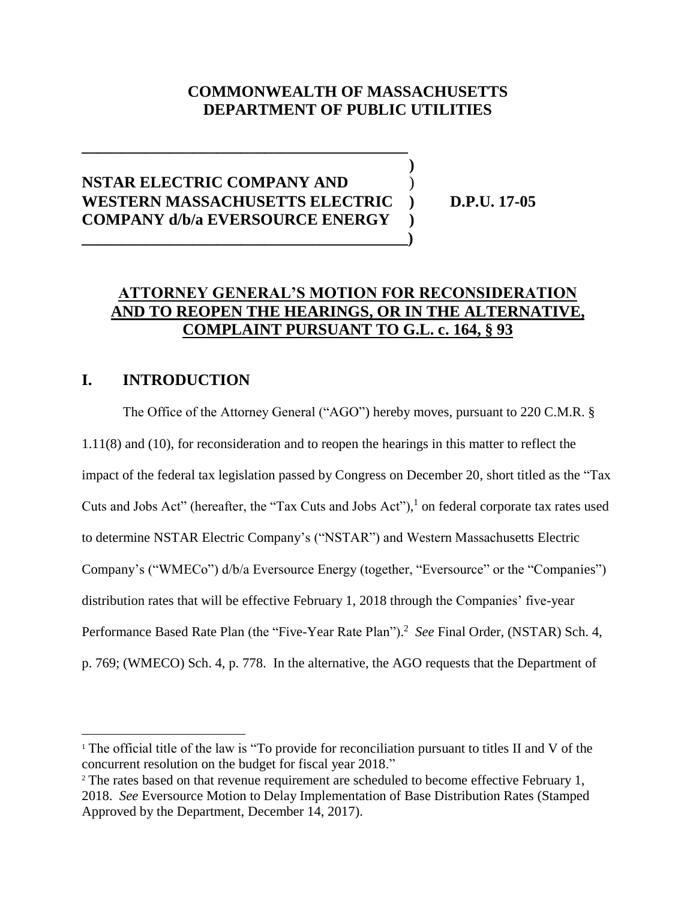# **COMMONWEALTH OF MASSACHUSETTS DEPARTMENT OF PUBLIC UTILITIES**

**)**

# **NSTAR ELECTRIC COMPANY AND** ) **WESTERN MASSACHUSETTS ELECTRIC ) D.P.U. 17-05 COMPANY d/b/a EVERSOURCE ENERGY ) \_\_\_\_\_\_\_\_\_\_\_\_\_\_\_\_\_\_\_\_\_\_\_\_\_\_\_\_\_\_\_\_\_\_\_\_\_\_\_\_\_)**

**\_\_\_\_\_\_\_\_\_\_\_\_\_\_\_\_\_\_\_\_\_\_\_\_\_\_\_\_\_\_\_\_\_\_\_\_\_\_\_\_\_**

# **ATTORNEY GENERAL'S MOTION FOR RECONSIDERATION AND TO REOPEN THE HEARINGS, OR IN THE ALTERNATIVE, COMPLAINT PURSUANT TO G.L. c. 164, § 93**

# **I. INTRODUCTION**

 $\overline{a}$ 

The Office of the Attorney General ("AGO") hereby moves, pursuant to 220 C.M.R. § 1.11(8) and (10), for reconsideration and to reopen the hearings in this matter to reflect the impact of the federal tax legislation passed by Congress on December 20, short titled as the "Tax Cuts and Jobs Act" (hereafter, the "Tax Cuts and Jobs Act"), $<sup>1</sup>$  on federal corporate tax rates used</sup> to determine NSTAR Electric Company's ("NSTAR") and Western Massachusetts Electric Company's ("WMECo") d/b/a Eversource Energy (together, "Eversource" or the "Companies") distribution rates that will be effective February 1, 2018 through the Companies' five-year Performance Based Rate Plan (the "Five-Year Rate Plan").<sup>2</sup> See Final Order, (NSTAR) Sch. 4, p. 769; (WMECO) Sch. 4, p. 778. In the alternative, the AGO requests that the Department of

<sup>&</sup>lt;sup>1</sup> The official title of the law is "To provide for reconciliation pursuant to titles II and V of the concurrent resolution on the budget for fiscal year 2018."

<sup>&</sup>lt;sup>2</sup> The rates based on that revenue requirement are scheduled to become effective February 1, 2018. *See* Eversource Motion to Delay Implementation of Base Distribution Rates (Stamped Approved by the Department, December 14, 2017).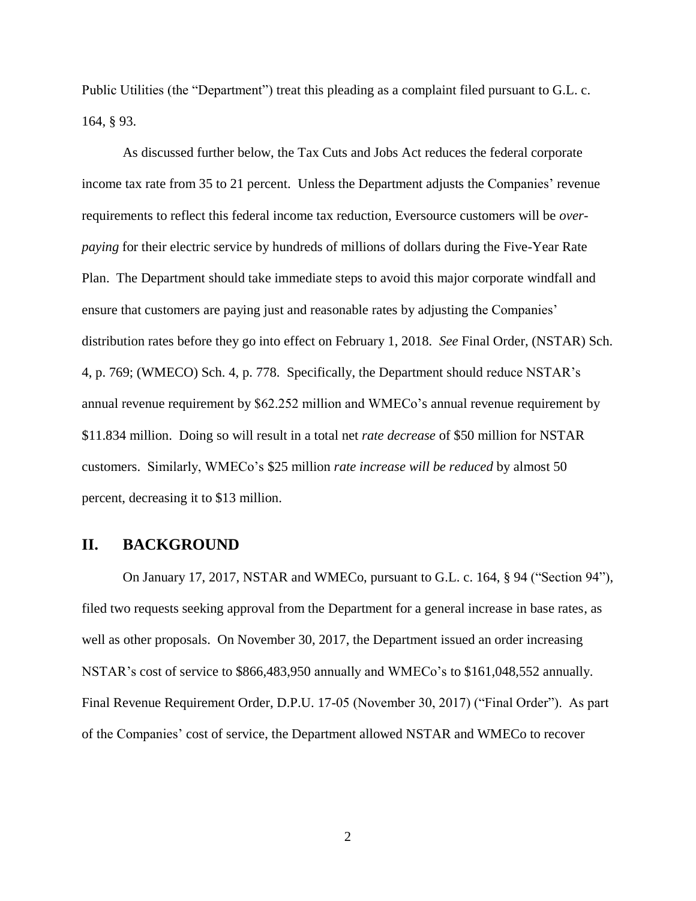Public Utilities (the "Department") treat this pleading as a complaint filed pursuant to G.L. c. 164, § 93.

As discussed further below, the Tax Cuts and Jobs Act reduces the federal corporate income tax rate from 35 to 21 percent. Unless the Department adjusts the Companies' revenue requirements to reflect this federal income tax reduction, Eversource customers will be *overpaying* for their electric service by hundreds of millions of dollars during the Five-Year Rate Plan. The Department should take immediate steps to avoid this major corporate windfall and ensure that customers are paying just and reasonable rates by adjusting the Companies' distribution rates before they go into effect on February 1, 2018. *See* Final Order, (NSTAR) Sch. 4, p. 769; (WMECO) Sch. 4, p. 778. Specifically, the Department should reduce NSTAR's annual revenue requirement by \$62.252 million and WMECo's annual revenue requirement by \$11.834 million. Doing so will result in a total net *rate decrease* of \$50 million for NSTAR customers. Similarly, WMECo's \$25 million *rate increase will be reduced* by almost 50 percent, decreasing it to \$13 million.

#### **II. BACKGROUND**

On January 17, 2017, NSTAR and WMECo, pursuant to G.L. c. 164, § 94 ("Section 94"), filed two requests seeking approval from the Department for a general increase in base rates, as well as other proposals. On November 30, 2017, the Department issued an order increasing NSTAR's cost of service to \$866,483,950 annually and WMECo's to \$161,048,552 annually. Final Revenue Requirement Order, D.P.U. 17-05 (November 30, 2017) ("Final Order"). As part of the Companies' cost of service, the Department allowed NSTAR and WMECo to recover

2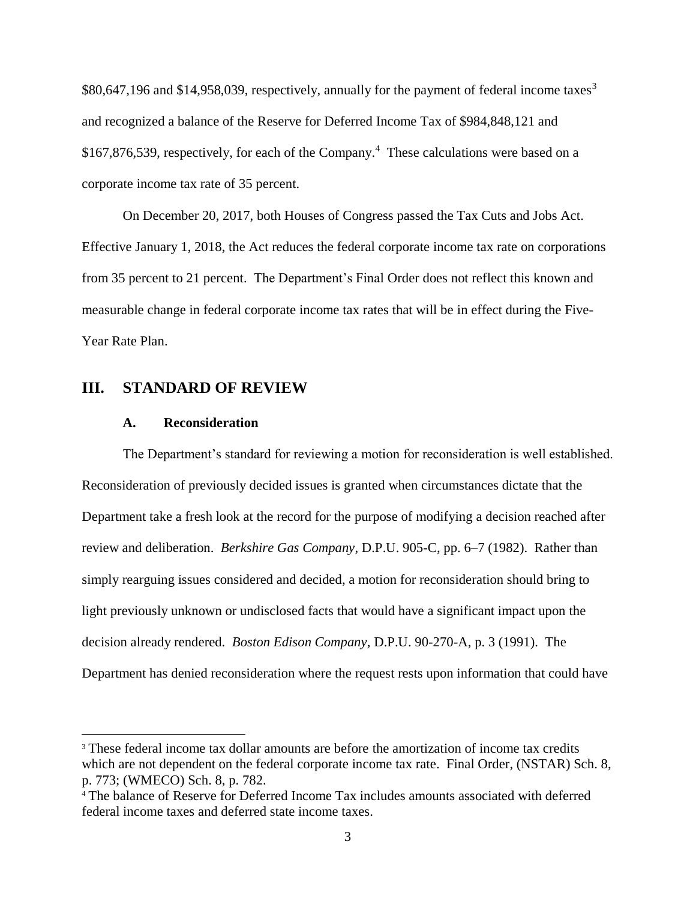\$80,647,196 and \$14,958,039, respectively, annually for the payment of federal income taxes<sup>3</sup> and recognized a balance of the Reserve for Deferred Income Tax of \$984,848,121 and \$167,876,539, respectively, for each of the Company. 4 These calculations were based on a corporate income tax rate of 35 percent.

On December 20, 2017, both Houses of Congress passed the Tax Cuts and Jobs Act. Effective January 1, 2018, the Act reduces the federal corporate income tax rate on corporations from 35 percent to 21 percent. The Department's Final Order does not reflect this known and measurable change in federal corporate income tax rates that will be in effect during the Five-Year Rate Plan.

#### **III. STANDARD OF REVIEW**

#### **A. Reconsideration**

 $\overline{a}$ 

The Department's standard for reviewing a motion for reconsideration is well established. Reconsideration of previously decided issues is granted when circumstances dictate that the Department take a fresh look at the record for the purpose of modifying a decision reached after review and deliberation. *Berkshire Gas Company*, D.P.U. 905-C, pp. 6–7 (1982). Rather than simply rearguing issues considered and decided, a motion for reconsideration should bring to light previously unknown or undisclosed facts that would have a significant impact upon the decision already rendered. *Boston Edison Company*, D.P.U. 90-270-A, p. 3 (1991). The Department has denied reconsideration where the request rests upon information that could have

<sup>&</sup>lt;sup>3</sup> These federal income tax dollar amounts are before the amortization of income tax credits which are not dependent on the federal corporate income tax rate. Final Order, (NSTAR) Sch. 8, p. 773; (WMECO) Sch. 8, p. 782.

<sup>4</sup> The balance of Reserve for Deferred Income Tax includes amounts associated with deferred federal income taxes and deferred state income taxes.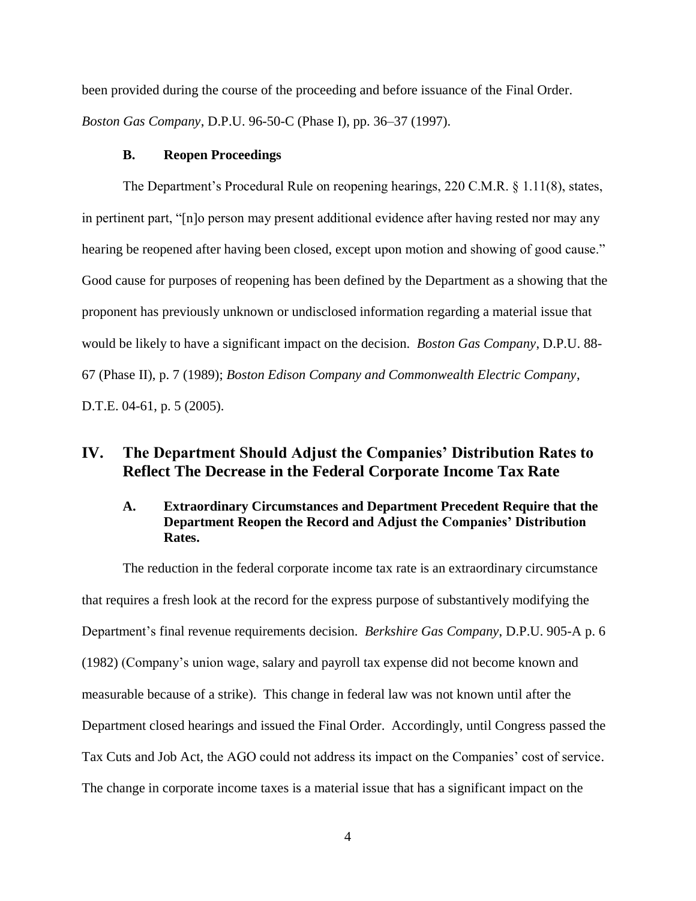been provided during the course of the proceeding and before issuance of the Final Order. *Boston Gas Company*, D.P.U. 96-50-C (Phase I), pp. 36–37 (1997).

#### **B. Reopen Proceedings**

The Department's Procedural Rule on reopening hearings, 220 C.M.R. § 1.11(8), states, in pertinent part, "[n]o person may present additional evidence after having rested nor may any hearing be reopened after having been closed, except upon motion and showing of good cause." Good cause for purposes of reopening has been defined by the Department as a showing that the proponent has previously unknown or undisclosed information regarding a material issue that would be likely to have a significant impact on the decision. *Boston Gas Company*, D.P.U. 88- 67 (Phase II), p. 7 (1989); *Boston Edison Company and Commonwealth Electric Company*, D.T.E. 04-61, p. 5 (2005).

# **IV. The Department Should Adjust the Companies' Distribution Rates to Reflect The Decrease in the Federal Corporate Income Tax Rate**

### **A. Extraordinary Circumstances and Department Precedent Require that the Department Reopen the Record and Adjust the Companies' Distribution Rates.**

The reduction in the federal corporate income tax rate is an extraordinary circumstance that requires a fresh look at the record for the express purpose of substantively modifying the Department's final revenue requirements decision. *Berkshire Gas Company*, D.P.U. 905-A p. 6 (1982) (Company's union wage, salary and payroll tax expense did not become known and measurable because of a strike). This change in federal law was not known until after the Department closed hearings and issued the Final Order. Accordingly, until Congress passed the Tax Cuts and Job Act, the AGO could not address its impact on the Companies' cost of service. The change in corporate income taxes is a material issue that has a significant impact on the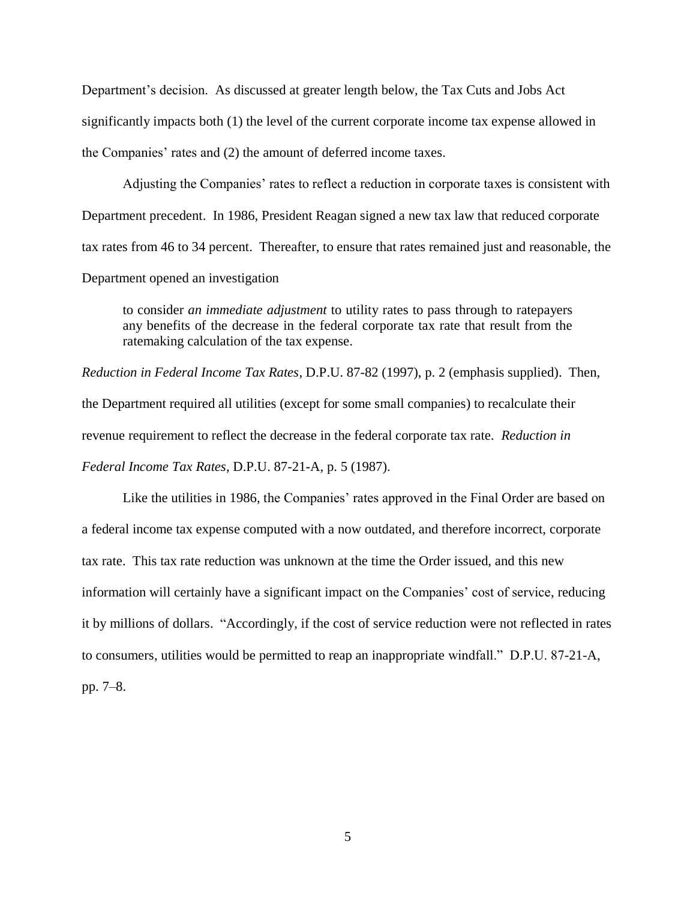Department's decision. As discussed at greater length below, the Tax Cuts and Jobs Act significantly impacts both (1) the level of the current corporate income tax expense allowed in the Companies' rates and (2) the amount of deferred income taxes.

Adjusting the Companies' rates to reflect a reduction in corporate taxes is consistent with Department precedent. In 1986, President Reagan signed a new tax law that reduced corporate tax rates from 46 to 34 percent. Thereafter, to ensure that rates remained just and reasonable, the Department opened an investigation

to consider *an immediate adjustment* to utility rates to pass through to ratepayers any benefits of the decrease in the federal corporate tax rate that result from the ratemaking calculation of the tax expense.

*Reduction in Federal Income Tax Rates*, D.P.U. 87-82 (1997), p. 2 (emphasis supplied). Then, the Department required all utilities (except for some small companies) to recalculate their revenue requirement to reflect the decrease in the federal corporate tax rate. *Reduction in Federal Income Tax Rates*, D.P.U. 87-21-A, p. 5 (1987).

Like the utilities in 1986, the Companies' rates approved in the Final Order are based on a federal income tax expense computed with a now outdated, and therefore incorrect, corporate tax rate. This tax rate reduction was unknown at the time the Order issued, and this new information will certainly have a significant impact on the Companies' cost of service, reducing it by millions of dollars. "Accordingly, if the cost of service reduction were not reflected in rates to consumers, utilities would be permitted to reap an inappropriate windfall." D.P.U. 87-21-A, pp. 7–8.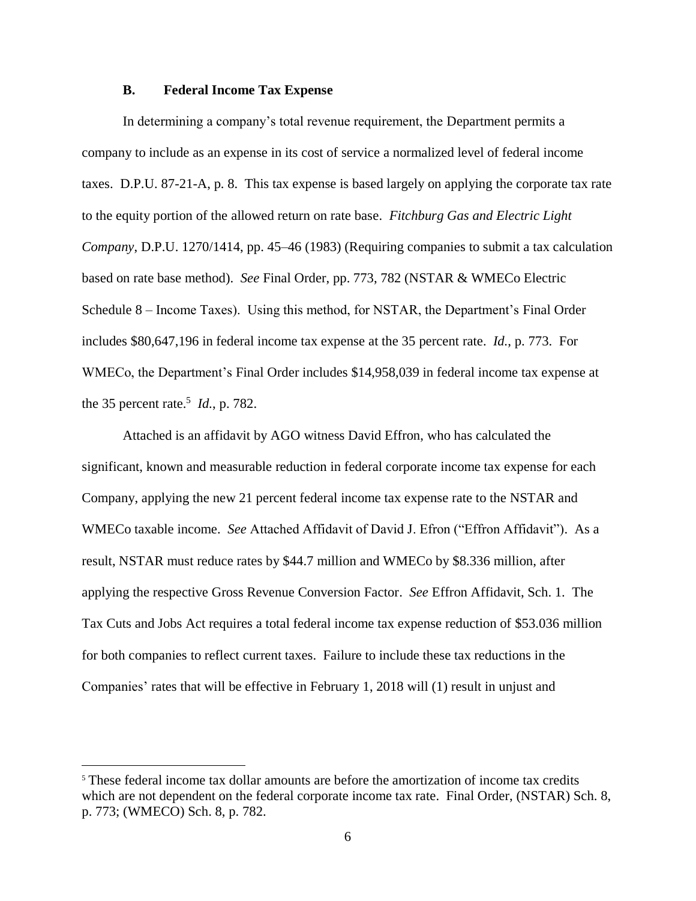#### **B. Federal Income Tax Expense**

In determining a company's total revenue requirement, the Department permits a company to include as an expense in its cost of service a normalized level of federal income taxes. D.P.U. 87-21-A, p. 8. This tax expense is based largely on applying the corporate tax rate to the equity portion of the allowed return on rate base. *Fitchburg Gas and Electric Light Company*, D.P.U. 1270/1414, pp. 45–46 (1983) (Requiring companies to submit a tax calculation based on rate base method). *See* Final Order, pp. 773, 782 (NSTAR & WMECo Electric Schedule 8 – Income Taxes). Using this method, for NSTAR, the Department's Final Order includes \$80,647,196 in federal income tax expense at the 35 percent rate. *Id.*, p. 773. For WMECo, the Department's Final Order includes \$14,958,039 in federal income tax expense at the 35 percent rate.<sup>5</sup>  $Id.$ , p. 782.

Attached is an affidavit by AGO witness David Effron, who has calculated the significant, known and measurable reduction in federal corporate income tax expense for each Company, applying the new 21 percent federal income tax expense rate to the NSTAR and WMECo taxable income. *See* Attached Affidavit of David J. Efron ("Effron Affidavit"). As a result, NSTAR must reduce rates by \$44.7 million and WMECo by \$8.336 million, after applying the respective Gross Revenue Conversion Factor. *See* Effron Affidavit, Sch. 1. The Tax Cuts and Jobs Act requires a total federal income tax expense reduction of \$53.036 million for both companies to reflect current taxes. Failure to include these tax reductions in the Companies' rates that will be effective in February 1, 2018 will (1) result in unjust and

 $\overline{a}$ 

<sup>&</sup>lt;sup>5</sup> These federal income tax dollar amounts are before the amortization of income tax credits which are not dependent on the federal corporate income tax rate. Final Order, (NSTAR) Sch. 8, p. 773; (WMECO) Sch. 8, p. 782.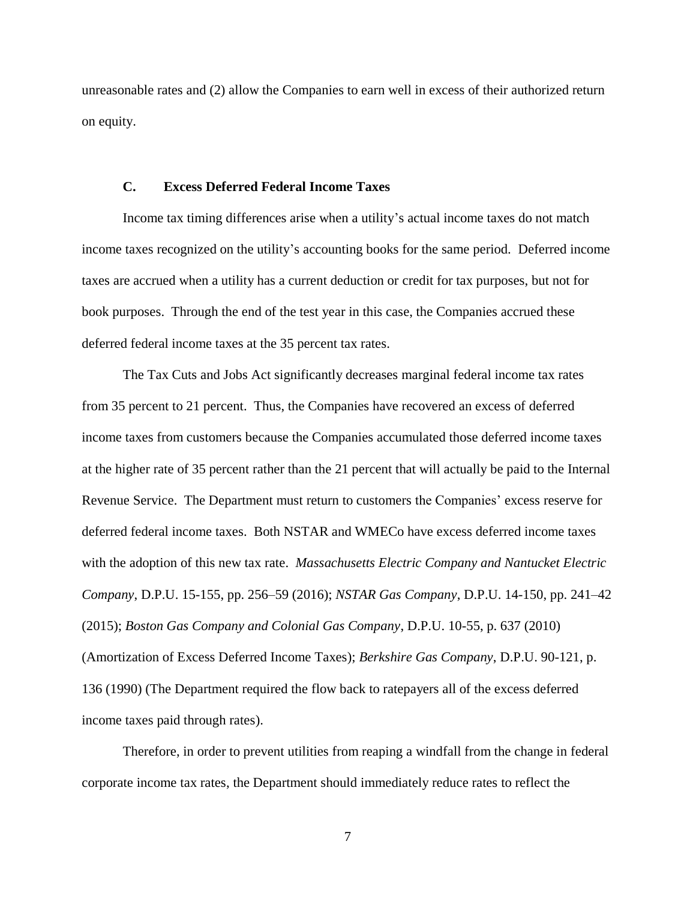unreasonable rates and (2) allow the Companies to earn well in excess of their authorized return on equity.

#### **C. Excess Deferred Federal Income Taxes**

Income tax timing differences arise when a utility's actual income taxes do not match income taxes recognized on the utility's accounting books for the same period. Deferred income taxes are accrued when a utility has a current deduction or credit for tax purposes, but not for book purposes. Through the end of the test year in this case, the Companies accrued these deferred federal income taxes at the 35 percent tax rates.

The Tax Cuts and Jobs Act significantly decreases marginal federal income tax rates from 35 percent to 21 percent. Thus, the Companies have recovered an excess of deferred income taxes from customers because the Companies accumulated those deferred income taxes at the higher rate of 35 percent rather than the 21 percent that will actually be paid to the Internal Revenue Service. The Department must return to customers the Companies' excess reserve for deferred federal income taxes. Both NSTAR and WMECo have excess deferred income taxes with the adoption of this new tax rate. *Massachusetts Electric Company and Nantucket Electric Company*, D.P.U. 15-155, pp. 256–59 (2016); *NSTAR Gas Company*, D.P.U. 14-150, pp. 241–42 (2015); *Boston Gas Company and Colonial Gas Company*, D.P.U. 10-55, p. 637 (2010) (Amortization of Excess Deferred Income Taxes); *Berkshire Gas Company*, D.P.U. 90-121, p. 136 (1990) (The Department required the flow back to ratepayers all of the excess deferred income taxes paid through rates).

Therefore, in order to prevent utilities from reaping a windfall from the change in federal corporate income tax rates, the Department should immediately reduce rates to reflect the

7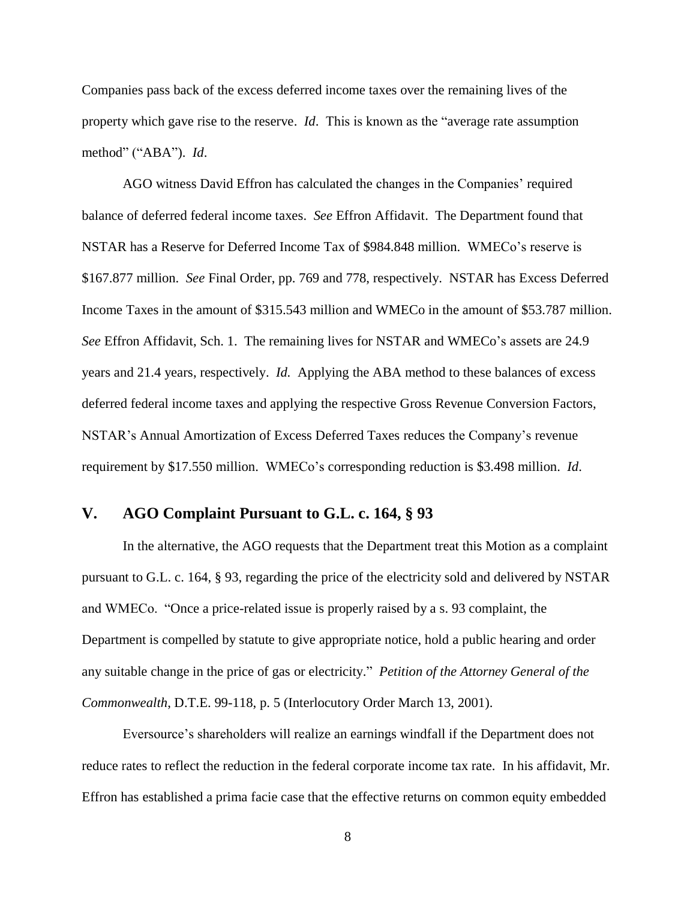Companies pass back of the excess deferred income taxes over the remaining lives of the property which gave rise to the reserve. *Id*. This is known as the "average rate assumption method" ("ABA"). *Id*.

AGO witness David Effron has calculated the changes in the Companies' required balance of deferred federal income taxes. *See* Effron Affidavit. The Department found that NSTAR has a Reserve for Deferred Income Tax of \$984.848 million. WMECo's reserve is \$167.877 million. *See* Final Order, pp. 769 and 778, respectively. NSTAR has Excess Deferred Income Taxes in the amount of \$315.543 million and WMECo in the amount of \$53.787 million. *See* Effron Affidavit, Sch. 1. The remaining lives for NSTAR and WMECo's assets are 24.9 years and 21.4 years, respectively. *Id.* Applying the ABA method to these balances of excess deferred federal income taxes and applying the respective Gross Revenue Conversion Factors, NSTAR's Annual Amortization of Excess Deferred Taxes reduces the Company's revenue requirement by \$17.550 million. WMECo's corresponding reduction is \$3.498 million. *Id*.

# **V. AGO Complaint Pursuant to G.L. c. 164, § 93**

In the alternative, the AGO requests that the Department treat this Motion as a complaint pursuant to G.L. c. 164, § 93, regarding the price of the electricity sold and delivered by NSTAR and WMECo. "Once a price-related issue is properly raised by a s. 93 complaint, the Department is compelled by statute to give appropriate notice, hold a public hearing and order any suitable change in the price of gas or electricity." *Petition of the Attorney General of the Commonwealth*, D.T.E. 99-118, p. 5 (Interlocutory Order March 13, 2001).

Eversource's shareholders will realize an earnings windfall if the Department does not reduce rates to reflect the reduction in the federal corporate income tax rate. In his affidavit, Mr. Effron has established a prima facie case that the effective returns on common equity embedded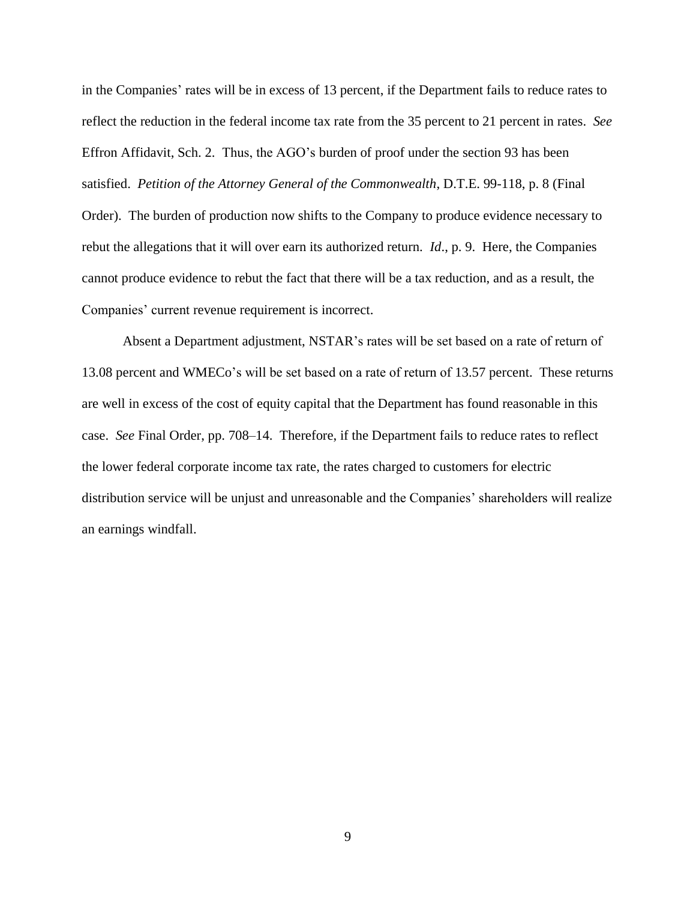in the Companies' rates will be in excess of 13 percent, if the Department fails to reduce rates to reflect the reduction in the federal income tax rate from the 35 percent to 21 percent in rates. *See* Effron Affidavit, Sch. 2. Thus, the AGO's burden of proof under the section 93 has been satisfied. *Petition of the Attorney General of the Commonwealth*, D.T.E. 99-118, p. 8 (Final Order). The burden of production now shifts to the Company to produce evidence necessary to rebut the allegations that it will over earn its authorized return. *Id*., p. 9. Here, the Companies cannot produce evidence to rebut the fact that there will be a tax reduction, and as a result, the Companies' current revenue requirement is incorrect.

Absent a Department adjustment, NSTAR's rates will be set based on a rate of return of 13.08 percent and WMECo's will be set based on a rate of return of 13.57 percent. These returns are well in excess of the cost of equity capital that the Department has found reasonable in this case. *See* Final Order, pp. 708–14. Therefore, if the Department fails to reduce rates to reflect the lower federal corporate income tax rate, the rates charged to customers for electric distribution service will be unjust and unreasonable and the Companies' shareholders will realize an earnings windfall.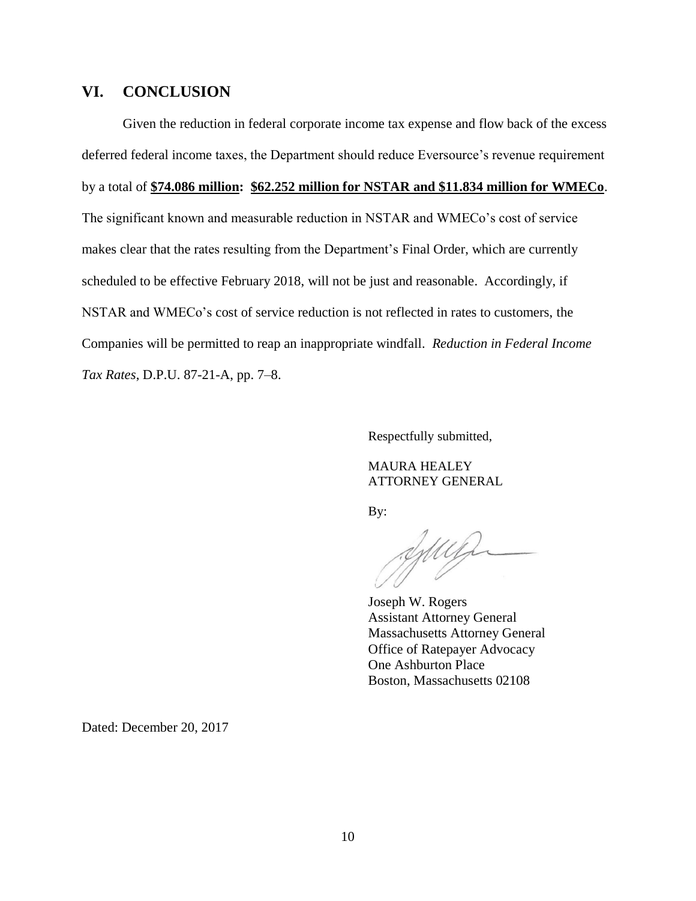### **VI. CONCLUSION**

Given the reduction in federal corporate income tax expense and flow back of the excess deferred federal income taxes, the Department should reduce Eversource's revenue requirement by a total of **\$74.086 million: \$62.252 million for NSTAR and \$11.834 million for WMECo**. The significant known and measurable reduction in NSTAR and WMECo's cost of service makes clear that the rates resulting from the Department's Final Order, which are currently scheduled to be effective February 2018, will not be just and reasonable. Accordingly, if NSTAR and WMECo's cost of service reduction is not reflected in rates to customers, the Companies will be permitted to reap an inappropriate windfall. *Reduction in Federal Income Tax Rates*, D.P.U. 87-21-A, pp. 7–8.

Respectfully submitted,

MAURA HEALEY ATTORNEY GENERAL

By:

Juin

Joseph W. Rogers Assistant Attorney General Massachusetts Attorney General Office of Ratepayer Advocacy One Ashburton Place Boston, Massachusetts 02108

Dated: December 20, 2017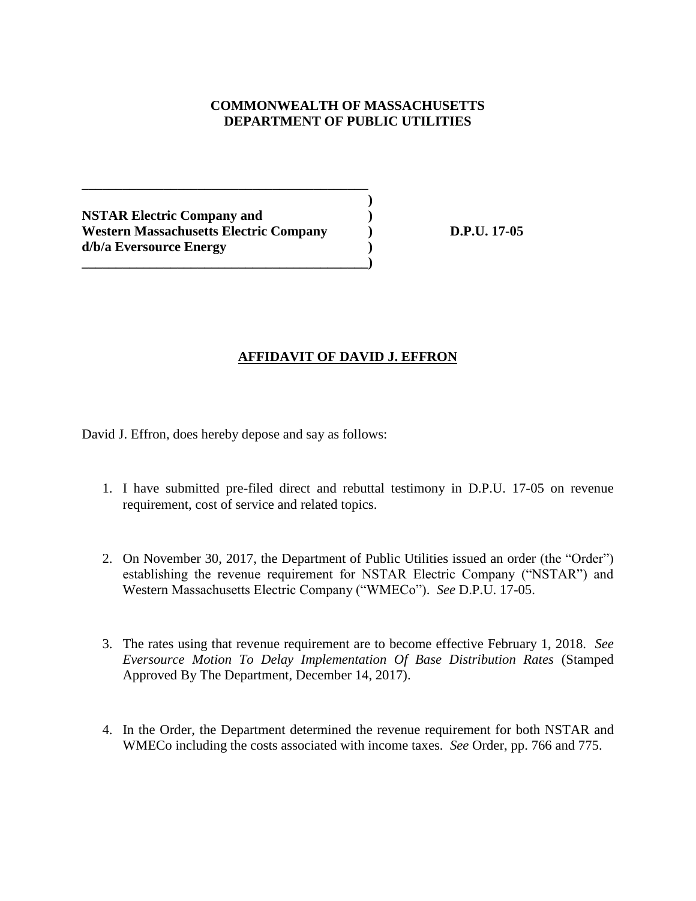# **COMMONWEALTH OF MASSACHUSETTS DEPARTMENT OF PUBLIC UTILITIES**

**)**

**NSTAR Electric Company and ) Western Massachusetts Electric Company ) D.P.U. 17-05 d/b/a Eversource Energy )**

\_\_\_\_\_\_\_\_\_\_\_\_\_\_\_\_\_\_\_\_\_\_\_\_\_\_\_\_\_\_\_\_\_\_\_\_\_\_\_\_\_\_

**\_\_\_\_\_\_\_\_\_\_\_\_\_\_\_\_\_\_\_\_\_\_\_\_\_\_\_\_\_\_\_\_\_\_\_\_\_\_\_\_\_\_)**

# **AFFIDAVIT OF DAVID J. EFFRON**

David J. Effron, does hereby depose and say as follows:

- 1. I have submitted pre-filed direct and rebuttal testimony in D.P.U. 17-05 on revenue requirement, cost of service and related topics.
- 2. On November 30, 2017, the Department of Public Utilities issued an order (the "Order") establishing the revenue requirement for NSTAR Electric Company ("NSTAR") and Western Massachusetts Electric Company ("WMECo"). *See* D.P.U. 17-05.
- 3. The rates using that revenue requirement are to become effective February 1, 2018. *See Eversource Motion To Delay Implementation Of Base Distribution Rates* (Stamped Approved By The Department, December 14, 2017).
- 4. In the Order, the Department determined the revenue requirement for both NSTAR and WMECo including the costs associated with income taxes. *See* Order, pp. 766 and 775.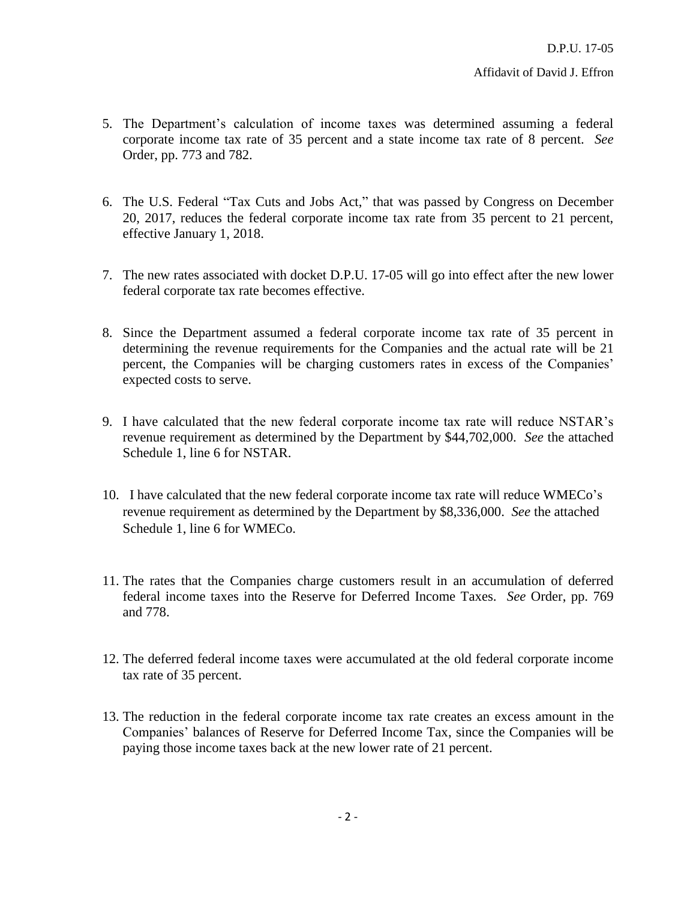- 5. The Department's calculation of income taxes was determined assuming a federal corporate income tax rate of 35 percent and a state income tax rate of 8 percent. *See* Order, pp. 773 and 782.
- 6. The U.S. Federal "Tax Cuts and Jobs Act," that was passed by Congress on December 20, 2017, reduces the federal corporate income tax rate from 35 percent to 21 percent, effective January 1, 2018.
- 7. The new rates associated with docket D.P.U. 17-05 will go into effect after the new lower federal corporate tax rate becomes effective.
- 8. Since the Department assumed a federal corporate income tax rate of 35 percent in determining the revenue requirements for the Companies and the actual rate will be 21 percent, the Companies will be charging customers rates in excess of the Companies' expected costs to serve.
- 9. I have calculated that the new federal corporate income tax rate will reduce NSTAR's revenue requirement as determined by the Department by \$44,702,000. *See* the attached Schedule 1, line 6 for NSTAR.
- 10. I have calculated that the new federal corporate income tax rate will reduce WMECo's revenue requirement as determined by the Department by \$8,336,000. *See* the attached Schedule 1, line 6 for WMECo.
- 11. The rates that the Companies charge customers result in an accumulation of deferred federal income taxes into the Reserve for Deferred Income Taxes. *See* Order, pp. 769 and 778.
- 12. The deferred federal income taxes were accumulated at the old federal corporate income tax rate of 35 percent.
- 13. The reduction in the federal corporate income tax rate creates an excess amount in the Companies' balances of Reserve for Deferred Income Tax, since the Companies will be paying those income taxes back at the new lower rate of 21 percent.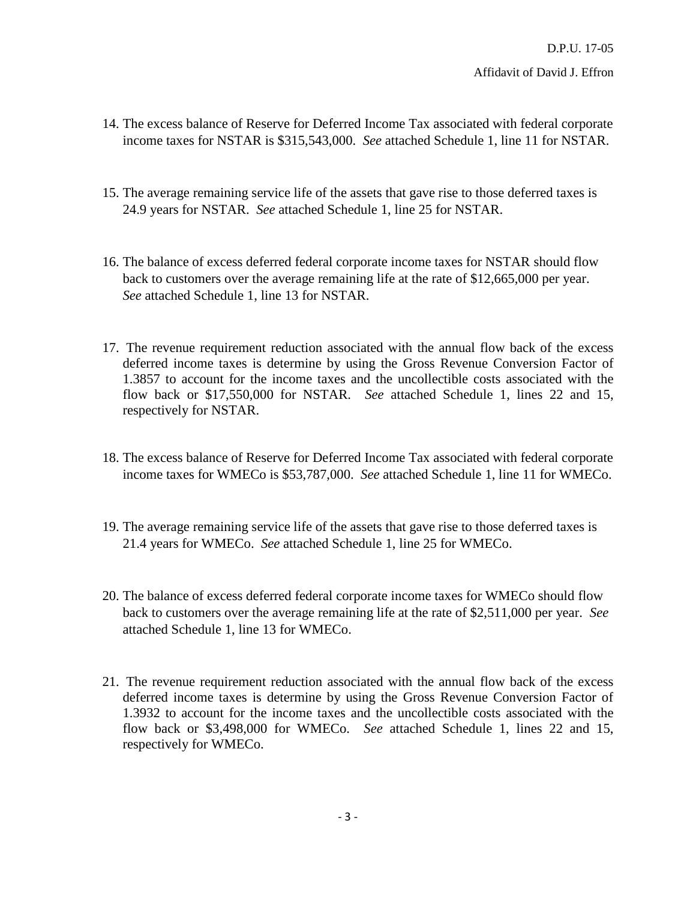- 14. The excess balance of Reserve for Deferred Income Tax associated with federal corporate income taxes for NSTAR is \$315,543,000. *See* attached Schedule 1, line 11 for NSTAR.
- 15. The average remaining service life of the assets that gave rise to those deferred taxes is 24.9 years for NSTAR. *See* attached Schedule 1, line 25 for NSTAR.
- 16. The balance of excess deferred federal corporate income taxes for NSTAR should flow back to customers over the average remaining life at the rate of \$12,665,000 per year. *See* attached Schedule 1, line 13 for NSTAR.
- 17. The revenue requirement reduction associated with the annual flow back of the excess deferred income taxes is determine by using the Gross Revenue Conversion Factor of 1.3857 to account for the income taxes and the uncollectible costs associated with the flow back or \$17,550,000 for NSTAR. *See* attached Schedule 1, lines 22 and 15, respectively for NSTAR.
- 18. The excess balance of Reserve for Deferred Income Tax associated with federal corporate income taxes for WMECo is \$53,787,000. *See* attached Schedule 1, line 11 for WMECo.
- 19. The average remaining service life of the assets that gave rise to those deferred taxes is 21.4 years for WMECo. *See* attached Schedule 1, line 25 for WMECo.
- 20. The balance of excess deferred federal corporate income taxes for WMECo should flow back to customers over the average remaining life at the rate of \$2,511,000 per year. *See* attached Schedule 1, line 13 for WMECo.
- 21. The revenue requirement reduction associated with the annual flow back of the excess deferred income taxes is determine by using the Gross Revenue Conversion Factor of 1.3932 to account for the income taxes and the uncollectible costs associated with the flow back or \$3,498,000 for WMECo. *See* attached Schedule 1, lines 22 and 15, respectively for WMECo.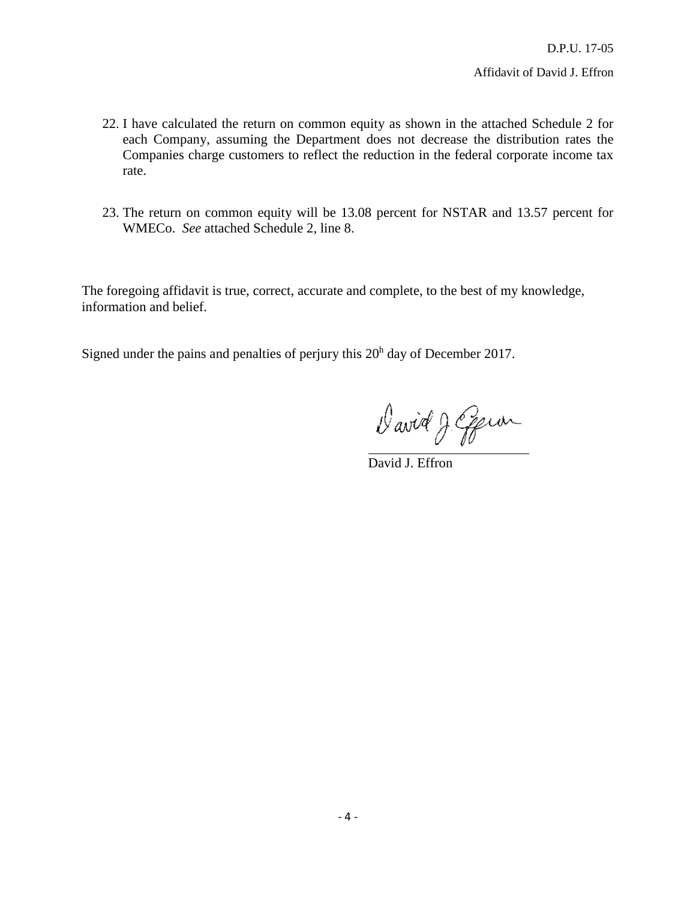- 22. I have calculated the return on common equity as shown in the attached Schedule 2 for each Company, assuming the Department does not decrease the distribution rates the Companies charge customers to reflect the reduction in the federal corporate income tax rate.
- 23. The return on common equity will be 13.08 percent for NSTAR and 13.57 percent for WMECo. *See* attached Schedule 2, line 8.

The foregoing affidavit is true, correct, accurate and complete, to the best of my knowledge, information and belief.

Signed under the pains and penalties of perjury this  $20<sup>h</sup>$  day of December 2017.

David J. Epien

David J. Effron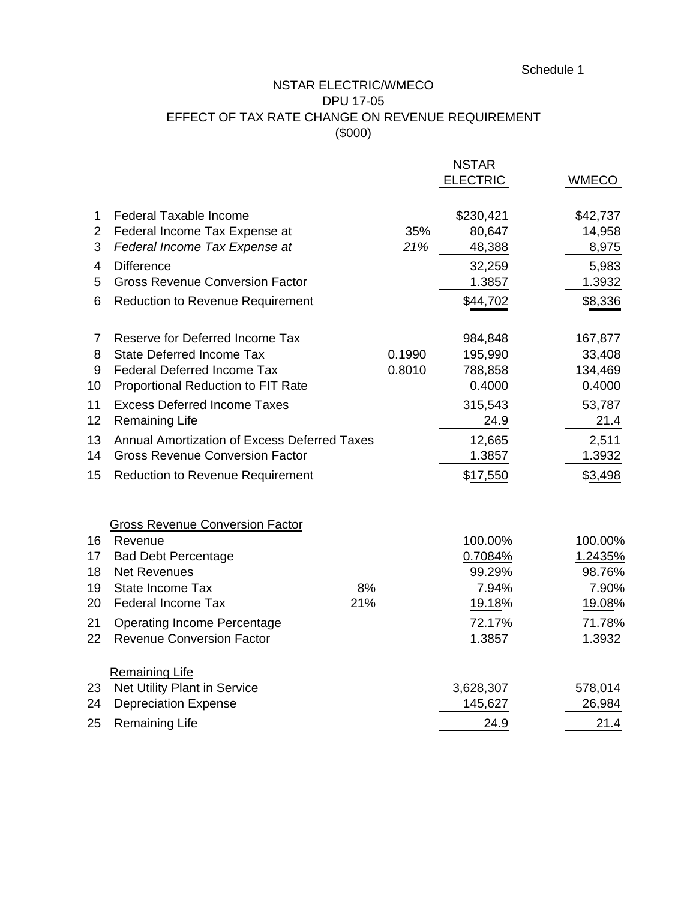### NSTAR ELECTRIC/WMECO DPU 17-05

# EFFECT OF TAX RATE CHANGE ON REVENUE REQUIREMENT (\$000)

|                |                                              |        | <b>NSTAR</b> |                 |              |
|----------------|----------------------------------------------|--------|--------------|-----------------|--------------|
|                |                                              |        |              | <b>ELECTRIC</b> | <b>WMECO</b> |
| 1              | <b>Federal Taxable Income</b>                |        |              | \$230,421       | \$42,737     |
| $\overline{2}$ | Federal Income Tax Expense at                |        | 35%          | 80,647          | 14,958       |
| 3              | Federal Income Tax Expense at                |        | 21%          | 48,388          | 8,975        |
| 4              | <b>Difference</b>                            |        |              | 32,259          | 5,983        |
| 5              | <b>Gross Revenue Conversion Factor</b>       |        |              | 1.3857          | 1.3932       |
| 6              | <b>Reduction to Revenue Requirement</b>      |        |              | \$44,702        | \$8,336      |
| 7              | Reserve for Deferred Income Tax              |        |              | 984,848         | 167,877      |
| 8              | <b>State Deferred Income Tax</b>             | 0.1990 |              | 195,990         | 33,408       |
| 9              | <b>Federal Deferred Income Tax</b>           | 0.8010 |              | 788,858         | 134,469      |
| 10             | Proportional Reduction to FIT Rate           |        |              | 0.4000          | 0.4000       |
| 11             | <b>Excess Deferred Income Taxes</b>          |        |              | 315,543         | 53,787       |
| 12             | <b>Remaining Life</b>                        |        |              | 24.9            | 21.4         |
| 13             | Annual Amortization of Excess Deferred Taxes |        |              | 12,665          | 2,511        |
| 14             | <b>Gross Revenue Conversion Factor</b>       |        |              | 1.3857          | 1.3932       |
| 15             | <b>Reduction to Revenue Requirement</b>      |        |              | \$17,550        | \$3,498      |
|                | <b>Gross Revenue Conversion Factor</b>       |        |              |                 |              |
| 16             | Revenue                                      |        |              | 100.00%         | 100.00%      |
| 17             | <b>Bad Debt Percentage</b>                   |        |              | 0.7084%         | 1.2435%      |
| 18             | <b>Net Revenues</b>                          |        |              | 99.29%          | 98.76%       |
| 19             | State Income Tax                             | 8%     |              | 7.94%           | 7.90%        |
| 20             | <b>Federal Income Tax</b>                    | 21%    |              | 19.18%          | 19.08%       |
| 21             | <b>Operating Income Percentage</b>           |        |              | 72.17%          | 71.78%       |
| 22             | <b>Revenue Conversion Factor</b>             |        |              | 1.3857          | 1.3932       |
|                | <b>Remaining Life</b>                        |        |              |                 |              |
| 23             | Net Utility Plant in Service                 |        |              | 3,628,307       | 578,014      |
| 24             | <b>Depreciation Expense</b>                  |        |              | 145,627         | 26,984       |
| 25             | <b>Remaining Life</b>                        |        |              | 24.9            | 21.4         |